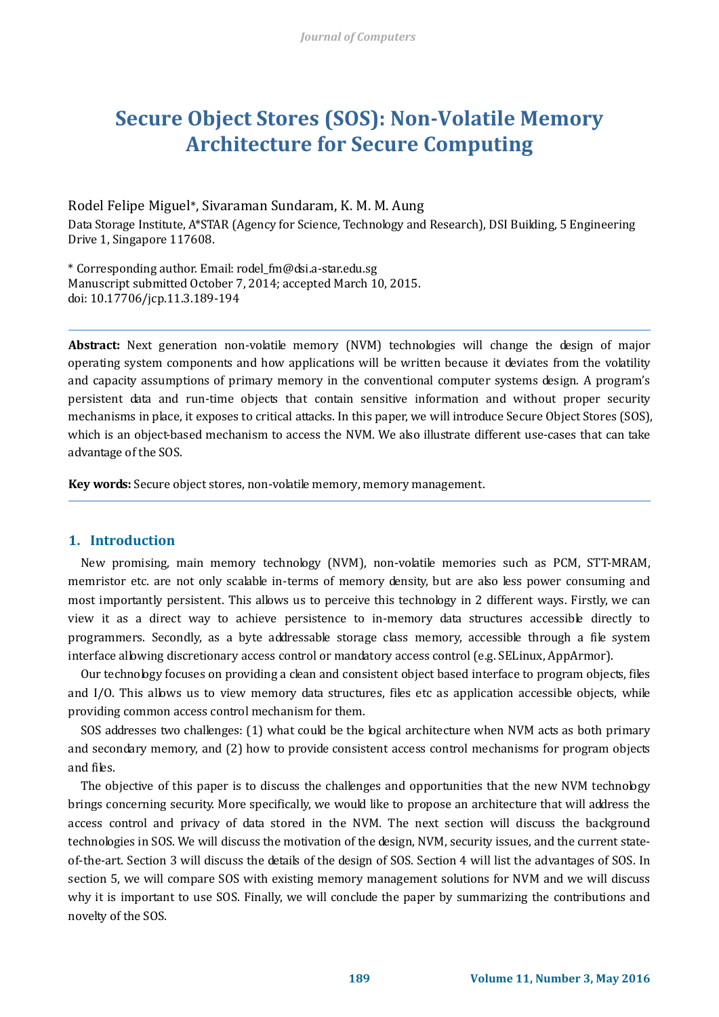# **Secure Object Stores (SOS): Non-Volatile Memory Architecture for Secure Computing**

Rodel Felipe Miguel\*, Sivaraman Sundaram, K. M. M. Aung

Data Storage Institute, A\*STAR (Agency for Science, Technology and Research), DSI Building, 5 Engineering Drive 1, Singapore 117608.

\* Corresponding author. Email: rodel\_fm@dsi.a-star.edu.sg Manuscript submitted October 7, 2014; accepted March 10, 2015. doi: 10.17706/jcp.11.3.189-194

**Abstract:** Next generation non-volatile memory (NVM) technologies will change the design of major operating system components and how applications will be written because it deviates from the volatility and capacity assumptions of primary memory in the conventional computer systems design. A program's persistent data and run-time objects that contain sensitive information and without proper security mechanisms in place, it exposes to critical attacks. In this paper, we will introduce Secure Object Stores (SOS), which is an object-based mechanism to access the NVM. We also illustrate different use-cases that can take advantage of the SOS.

**Key words:** Secure object stores, non-volatile memory, memory management.

## **1. Introduction**

New promising, main memory technology (NVM), non-volatile memories such as PCM, STT-MRAM, memristor etc. are not only scalable in-terms of memory density, but are also less power consuming and most importantly persistent. This allows us to perceive this technology in 2 different ways. Firstly, we can view it as a direct way to achieve persistence to in-memory data structures accessible directly to programmers. Secondly, as a byte addressable storage class memory, accessible through a file system interface allowing discretionary access control or mandatory access control (e.g. SELinux, AppArmor).

Our technology focuses on providing a clean and consistent object based interface to program objects, files and I/O. This allows us to view memory data structures, files etc as application accessible objects, while providing common access control mechanism for them.

SOS addresses two challenges: (1) what could be the logical architecture when NVM acts as both primary and secondary memory, and (2) how to provide consistent access control mechanisms for program objects and files.

The objective of this paper is to discuss the challenges and opportunities that the new NVM technology brings concerning security. More specifically, we would like to propose an architecture that will address the access control and privacy of data stored in the NVM. The next section will discuss the background technologies in SOS. We will discuss the motivation of the design, NVM, security issues, and the current stateof-the-art. Section 3 will discuss the details of the design of SOS. Section 4 will list the advantages of SOS. In section 5, we will compare SOS with existing memory management solutions for NVM and we will discuss why it is important to use SOS. Finally, we will conclude the paper by summarizing the contributions and novelty of the SOS.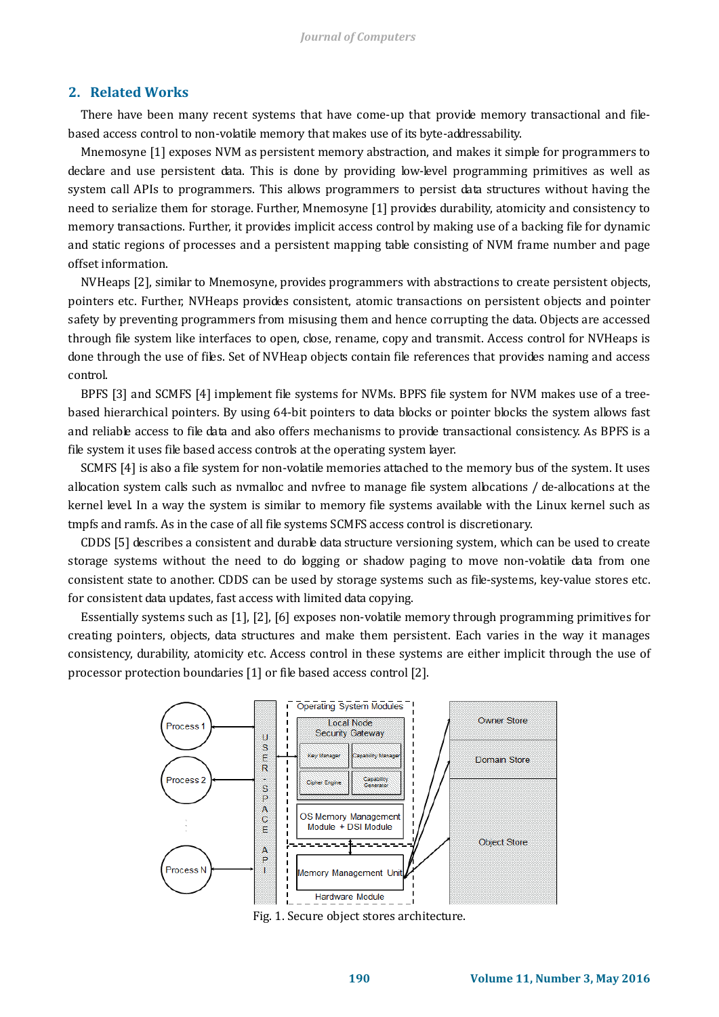#### **2. Related Works**

There have been many recent systems that have come-up that provide memory transactional and filebased access control to non-volatile memory that makes use of its byte-addressability.

Mnemosyne [1] exposes NVM as persistent memory abstraction, and makes it simple for programmers to declare and use persistent data. This is done by providing low-level programming primitives as well as system call APIs to programmers. This allows programmers to persist data structures without having the need to serialize them for storage. Further, Mnemosyne [1] provides durability, atomicity and consistency to memory transactions. Further, it provides implicit access control by making use of a backing file for dynamic and static regions of processes and a persistent mapping table consisting of NVM frame number and page offset information.

NVHeaps [2], similar to Mnemosyne, provides programmers with abstractions to create persistent objects, pointers etc. Further, NVHeaps provides consistent, atomic transactions on persistent objects and pointer safety by preventing programmers from misusing them and hence corrupting the data. Objects are accessed through file system like interfaces to open, close, rename, copy and transmit. Access control for NVHeaps is done through the use of files. Set of NVHeap objects contain file references that provides naming and access control.

BPFS [3] and SCMFS [4] implement file systems for NVMs. BPFS file system for NVM makes use of a treebased hierarchical pointers. By using 64-bit pointers to data blocks or pointer blocks the system allows fast and reliable access to file data and also offers mechanisms to provide transactional consistency. As BPFS is a file system it uses file based access controls at the operating system layer.

SCMFS [4] is also a file system for non-volatile memories attached to the memory bus of the system. It uses allocation system calls such as nvmalloc and nvfree to manage file system allocations / de-allocations at the kernel level. In a way the system is similar to memory file systems available with the Linux kernel such as tmpfs and ramfs. As in the case of all file systems SCMFS access control is discretionary.

CDDS [5] describes a consistent and durable data structure versioning system, which can be used to create storage systems without the need to do logging or shadow paging to move non-volatile data from one consistent state to another. CDDS can be used by storage systems such as file-systems, key-value stores etc. for consistent data updates, fast access with limited data copying.

Essentially systems such as [1], [2], [6] exposes non-volatile memory through programming primitives for creating pointers, objects, data structures and make them persistent. Each varies in the way it manages consistency, durability, atomicity etc. Access control in these systems are either implicit through the use of processor protection boundaries [1] or file based access control [2].



Fig. 1. Secure object stores architecture.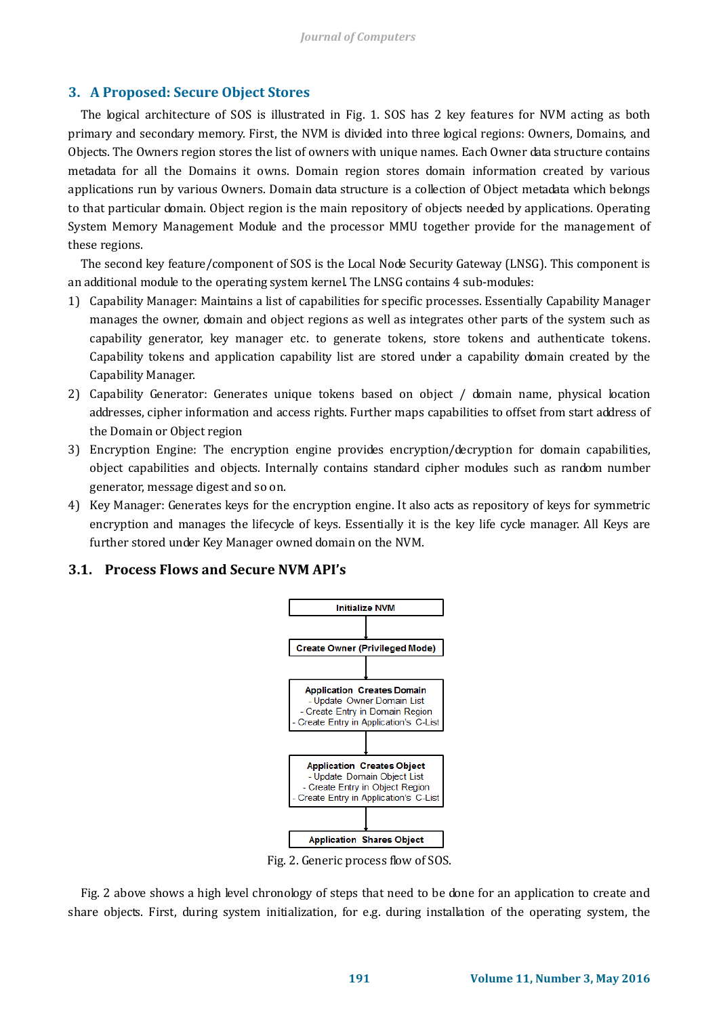## **3. A Proposed: Secure Object Stores**

The logical architecture of SOS is illustrated in Fig. 1. SOS has 2 key features for NVM acting as both primary and secondary memory. First, the NVM is divided into three logical regions: Owners, Domains, and Objects. The Owners region stores the list of owners with unique names. Each Owner data structure contains metadata for all the Domains it owns. Domain region stores domain information created by various applications run by various Owners. Domain data structure is a collection of Object metadata which belongs to that particular domain. Object region is the main repository of objects needed by applications. Operating System Memory Management Module and the processor MMU together provide for the management of these regions.

The second key feature/component of SOS is the Local Node Security Gateway (LNSG). This component is an additional module to the operating system kernel. The LNSG contains 4 sub-modules:

- 1) Capability Manager: Maintains a list of capabilities for specific processes. Essentially Capability Manager manages the owner, domain and object regions as well as integrates other parts of the system such as capability generator, key manager etc. to generate tokens, store tokens and authenticate tokens. Capability tokens and application capability list are stored under a capability domain created by the Capability Manager.
- 2) Capability Generator: Generates unique tokens based on object / domain name, physical location addresses, cipher information and access rights. Further maps capabilities to offset from start address of the Domain or Object region
- 3) Encryption Engine: The encryption engine provides encryption/decryption for domain capabilities, object capabilities and objects. Internally contains standard cipher modules such as random number generator, message digest and so on.
- 4) Key Manager: Generates keys for the encryption engine. It also acts as repository of keys for symmetric encryption and manages the lifecycle of keys. Essentially it is the key life cycle manager. All Keys are further stored under Key Manager owned domain on the NVM.

## **3.1. Process Flows and Secure NVM API's**



Fig. 2. Generic process flow of SOS.

Fig. 2 above shows a high level chronology of steps that need to be done for an application to create and share objects. First, during system initialization, for e.g. during installation of the operating system, the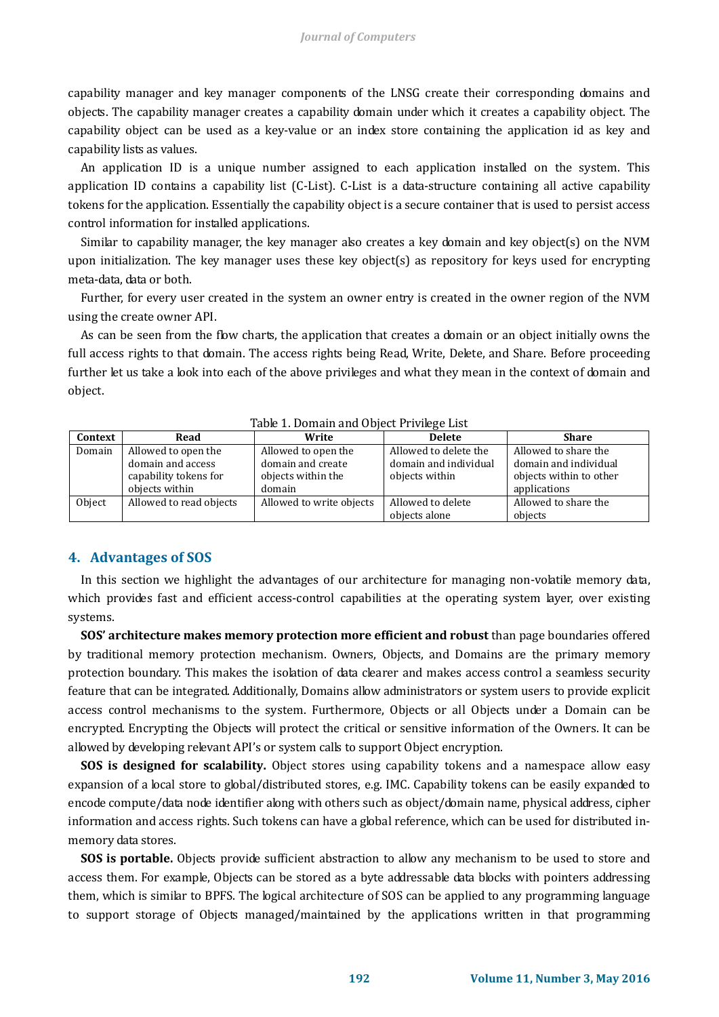capability manager and key manager components of the LNSG create their corresponding domains and objects. The capability manager creates a capability domain under which it creates a capability object. The capability object can be used as a key-value or an index store containing the application id as key and capability lists as values.

An application ID is a unique number assigned to each application installed on the system. This application ID contains a capability list (C-List). C-List is a data-structure containing all active capability tokens for the application. Essentially the capability object is a secure container that is used to persist access control information for installed applications.

Similar to capability manager, the key manager also creates a key domain and key object(s) on the NVM upon initialization. The key manager uses these key object(s) as repository for keys used for encrypting meta-data, data or both.

Further, for every user created in the system an owner entry is created in the owner region of the NVM using the create owner API.

As can be seen from the flow charts, the application that creates a domain or an object initially owns the full access rights to that domain. The access rights being Read, Write, Delete, and Share. Before proceeding further let us take a look into each of the above privileges and what they mean in the context of domain and object.

| Context | Read                    | Write                    | <b>Delete</b>         | <b>Share</b>            |
|---------|-------------------------|--------------------------|-----------------------|-------------------------|
| Domain  | Allowed to open the     | Allowed to open the      | Allowed to delete the | Allowed to share the    |
|         | domain and access       | domain and create        | domain and individual | domain and individual   |
|         | capability tokens for   | objects within the       | objects within        | objects within to other |
|         | objects within          | domain                   |                       | applications            |
| Object  | Allowed to read objects | Allowed to write objects | Allowed to delete     | Allowed to share the    |
|         |                         |                          | obiects alone         | objects                 |

Table 1. Domain and Object Privilege List

## **4. Advantages of SOS**

In this section we highlight the advantages of our architecture for managing non-volatile memory data, which provides fast and efficient access-control capabilities at the operating system layer, over existing systems.

**SOS' architecture makes memory protection more efficient and robust** than page boundaries offered by traditional memory protection mechanism. Owners, Objects, and Domains are the primary memory protection boundary. This makes the isolation of data clearer and makes access control a seamless security feature that can be integrated. Additionally, Domains allow administrators or system users to provide explicit access control mechanisms to the system. Furthermore, Objects or all Objects under a Domain can be encrypted. Encrypting the Objects will protect the critical or sensitive information of the Owners. It can be allowed by developing relevant API's or system calls to support Object encryption.

**SOS is designed for scalability.** Object stores using capability tokens and a namespace allow easy expansion of a local store to global/distributed stores, e.g. IMC. Capability tokens can be easily expanded to encode compute/data node identifier along with others such as object/domain name, physical address, cipher information and access rights. Such tokens can have a global reference, which can be used for distributed inmemory data stores.

**SOS is portable.** Objects provide sufficient abstraction to allow any mechanism to be used to store and access them. For example, Objects can be stored as a byte addressable data blocks with pointers addressing them, which is similar to BPFS. The logical architecture of SOS can be applied to any programming language to support storage of Objects managed/maintained by the applications written in that programming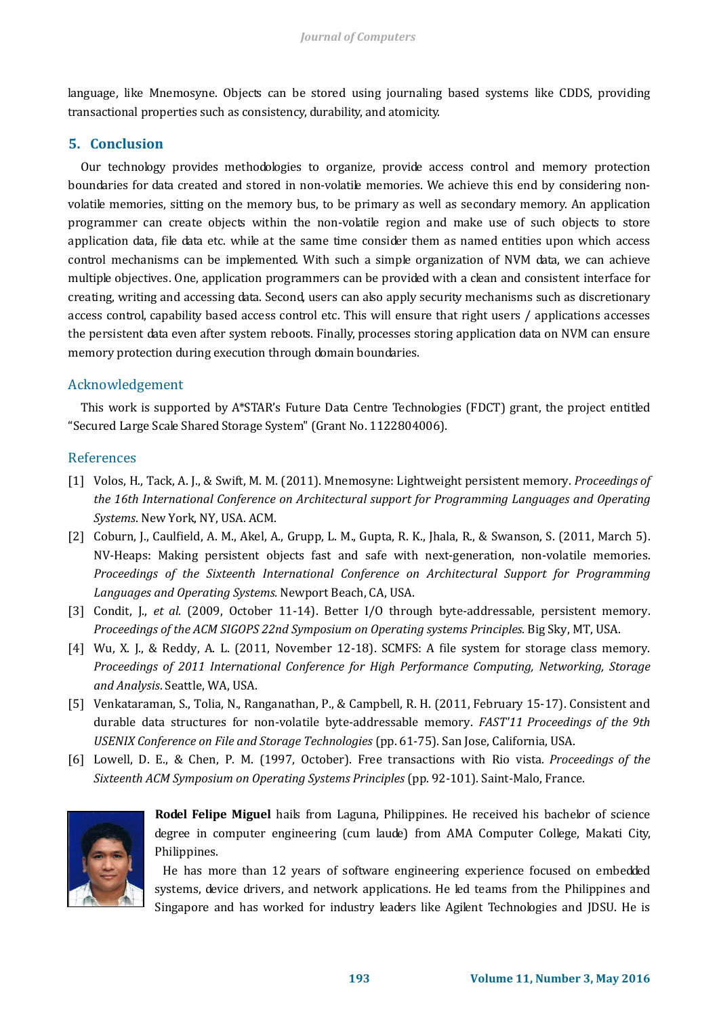language, like Mnemosyne. Objects can be stored using journaling based systems like CDDS, providing transactional properties such as consistency, durability, and atomicity.

## **5. Conclusion**

Our technology provides methodologies to organize, provide access control and memory protection boundaries for data created and stored in non-volatile memories. We achieve this end by considering nonvolatile memories, sitting on the memory bus, to be primary as well as secondary memory. An application programmer can create objects within the non-volatile region and make use of such objects to store application data, file data etc. while at the same time consider them as named entities upon which access control mechanisms can be implemented. With such a simple organization of NVM data, we can achieve multiple objectives. One, application programmers can be provided with a clean and consistent interface for creating, writing and accessing data. Second, users can also apply security mechanisms such as discretionary access control, capability based access control etc. This will ensure that right users / applications accesses the persistent data even after system reboots. Finally, processes storing application data on NVM can ensure memory protection during execution through domain boundaries.

## Acknowledgement

This work is supported by A\*STAR's Future Data Centre Technologies (FDCT) grant, the project entitled "Secured Large Scale Shared Storage System" (Grant No. 1122804006).

## References

- [1] Volos, H., Tack, A. J., & Swift, M. M. (2011). Mnemosyne: Lightweight persistent memory. *Proceedings of the 16th International Conference on Architectural support for Programming Languages and Operating Systems*. New York, NY, USA. ACM.
- [2] Coburn, J., Caulfield, A. M., Akel, A., Grupp, L. M., Gupta, R. K., Jhala, R., & Swanson, S. (2011, March 5). NV-Heaps: Making persistent objects fast and safe with next-generation, non-volatile memories. *Proceedings of the Sixteenth International Conference on Architectural Support for Programming Languages and Operating Systems.* Newport Beach, CA, USA.
- [3] Condit, J., *et al.* (2009, October 11-14). Better I/O through byte-addressable, persistent memory. *Proceedings of the ACM SIGOPS 22nd Symposium on Operating systems Principles.* Big Sky, MT, USA.
- [4] Wu, X. J., & Reddy, A. L. (2011, November 12-18). SCMFS: A file system for storage class memory. *Proceedings of 2011 International Conference for High Performance Computing, Networking, Storage and Analysis*. Seattle, WA, USA.
- [5] Venkataraman, S., Tolia, N., Ranganathan, P., & Campbell, R. H. (2011, February 15-17). Consistent and durable data structures for non-volatile byte-addressable memory. *FAST'11 Proceedings of the 9th USENIX Conference on File and Storage Technologies* (pp. 61-75). San Jose, California, USA.
- [6] Lowell, D. E., & Chen, P. M. (1997, October). Free transactions with Rio vista*. Proceedings of the Sixteenth ACM Symposium on Operating Systems Principles* (pp. 92-101). Saint-Malo, France.



**Rodel Felipe Miguel** hails from Laguna, Philippines. He received his bachelor of science degree in computer engineering (cum laude) from AMA Computer College, Makati City, Philippines.

 He has more than 12 years of software engineering experience focused on embedded systems, device drivers, and network applications. He led teams from the Philippines and Singapore and has worked for industry leaders like Agilent Technologies and JDSU. He is